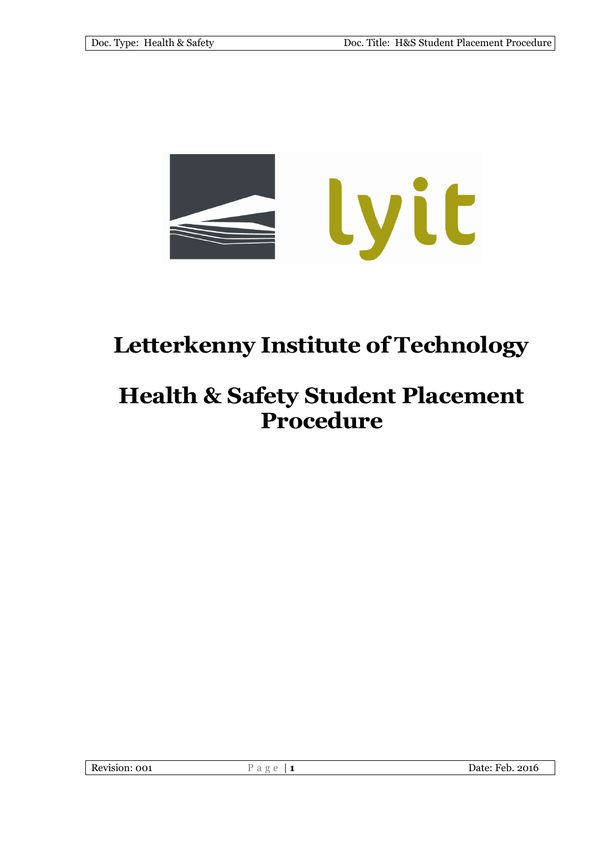

# **Letterkenny Institute of Technology**

## **Health & Safety Student Placement Procedure**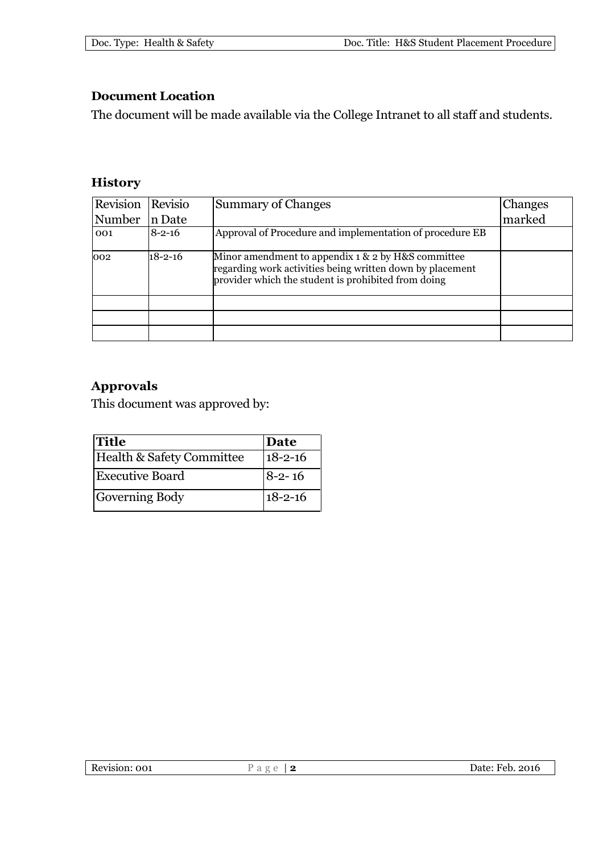## **Document Location**

The document will be made available via the College Intranet to all staff and students.

### **History**

| Revision | Revisio       | <b>Summary of Changes</b>                                                                                                                                                 | Changes |
|----------|---------------|---------------------------------------------------------------------------------------------------------------------------------------------------------------------------|---------|
| Number   | n Date        |                                                                                                                                                                           | marked  |
| 001      | $8 - 2 - 16$  | Approval of Procedure and implementation of procedure EB                                                                                                                  |         |
| 002      | $18 - 2 - 16$ | Minor amendment to appendix $1 \& 2$ by H&S committee<br>regarding work activities being written down by placement<br>provider which the student is prohibited from doing |         |
|          |               |                                                                                                                                                                           |         |
|          |               |                                                                                                                                                                           |         |
|          |               |                                                                                                                                                                           |         |

## **Approvals**

This document was approved by:

| <b>Title</b>              | Date          |
|---------------------------|---------------|
| Health & Safety Committee | $18 - 2 - 16$ |
| <b>Executive Board</b>    | $8-2-16$      |
| Governing Body            | $18 - 2 - 16$ |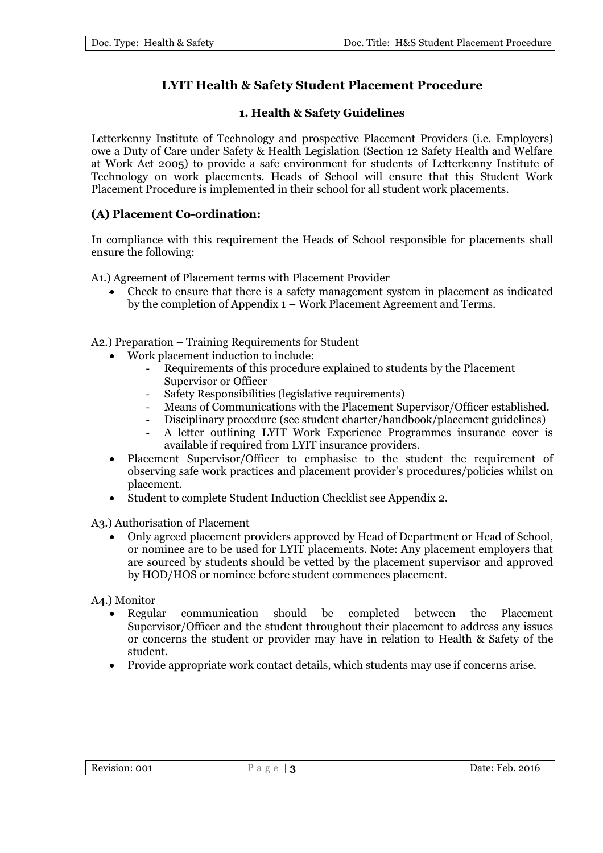## **LYIT Health & Safety Student Placement Procedure**

#### **1. Health & Safety Guidelines**

Letterkenny Institute of Technology and prospective Placement Providers (i.e. Employers) owe a Duty of Care under Safety & Health Legislation (Section 12 Safety Health and Welfare at Work Act 2005) to provide a safe environment for students of Letterkenny Institute of Technology on work placements. Heads of School will ensure that this Student Work Placement Procedure is implemented in their school for all student work placements.

#### **(A) Placement Co-ordination:**

In compliance with this requirement the Heads of School responsible for placements shall ensure the following:

A1.) Agreement of Placement terms with Placement Provider

 Check to ensure that there is a safety management system in placement as indicated by the completion of Appendix 1 – Work Placement Agreement and Terms.

A2.) Preparation – Training Requirements for Student

- Work placement induction to include:
	- Requirements of this procedure explained to students by the Placement Supervisor or Officer
	- Safety Responsibilities (legislative requirements)
	- Means of Communications with the Placement Supervisor/Officer established.
	- Disciplinary procedure (see student charter/handbook/placement guidelines)
	- A letter outlining LYIT Work Experience Programmes insurance cover is available if required from LYIT insurance providers.
- Placement Supervisor/Officer to emphasise to the student the requirement of observing safe work practices and placement provider's procedures/policies whilst on placement.
- Student to complete Student Induction Checklist see Appendix 2.

A3.) Authorisation of Placement

 Only agreed placement providers approved by Head of Department or Head of School, or nominee are to be used for LYIT placements. Note: Any placement employers that are sourced by students should be vetted by the placement supervisor and approved by HOD/HOS or nominee before student commences placement.

A4.) Monitor

- Regular communication should be completed between the Placement Supervisor/Officer and the student throughout their placement to address any issues or concerns the student or provider may have in relation to Health & Safety of the student.
- Provide appropriate work contact details, which students may use if concerns arise.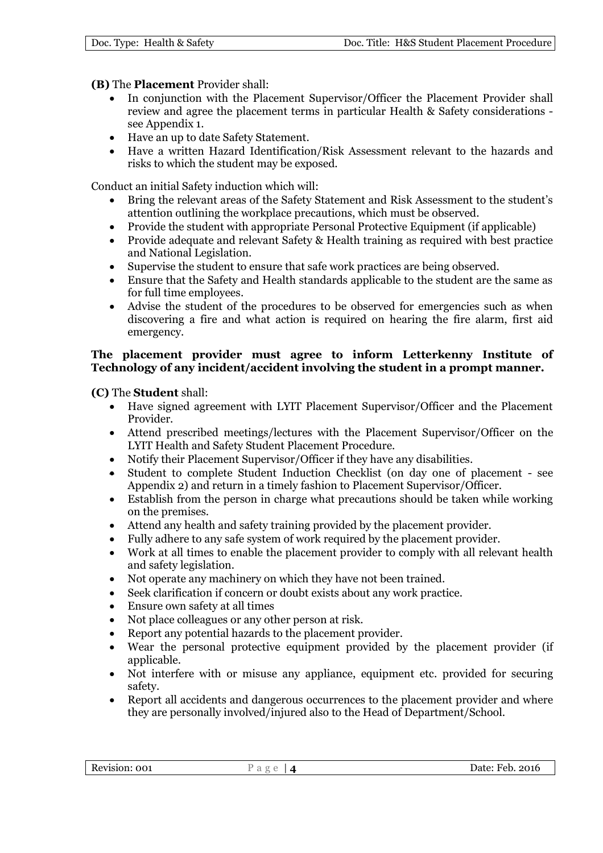**(B)** The **Placement** Provider shall:

- In conjunction with the Placement Supervisor/Officer the Placement Provider shall review and agree the placement terms in particular Health & Safety considerations see Appendix 1.
- Have an up to date Safety Statement.
- Have a written Hazard Identification/Risk Assessment relevant to the hazards and risks to which the student may be exposed.

Conduct an initial Safety induction which will:

- Bring the relevant areas of the Safety Statement and Risk Assessment to the student's attention outlining the workplace precautions, which must be observed.
- Provide the student with appropriate Personal Protective Equipment (if applicable)
- Provide adequate and relevant Safety & Health training as required with best practice and National Legislation.
- Supervise the student to ensure that safe work practices are being observed.
- Ensure that the Safety and Health standards applicable to the student are the same as for full time employees.
- Advise the student of the procedures to be observed for emergencies such as when discovering a fire and what action is required on hearing the fire alarm, first aid emergency.

#### **The placement provider must agree to inform Letterkenny Institute of Technology of any incident/accident involving the student in a prompt manner.**

**(C)** The **Student** shall:

- Have signed agreement with LYIT Placement Supervisor/Officer and the Placement Provider.
- Attend prescribed meetings/lectures with the Placement Supervisor/Officer on the LYIT Health and Safety Student Placement Procedure.
- Notify their Placement Supervisor/Officer if they have any disabilities.
- Student to complete Student Induction Checklist (on day one of placement see Appendix 2) and return in a timely fashion to Placement Supervisor/Officer.
- Establish from the person in charge what precautions should be taken while working on the premises.
- Attend any health and safety training provided by the placement provider.
- Fully adhere to any safe system of work required by the placement provider.
- Work at all times to enable the placement provider to comply with all relevant health and safety legislation.
- Not operate any machinery on which they have not been trained.
- Seek clarification if concern or doubt exists about any work practice.
- Ensure own safety at all times
- Not place colleagues or any other person at risk.
- Report any potential hazards to the placement provider.
- Wear the personal protective equipment provided by the placement provider (if applicable.
- Not interfere with or misuse any appliance, equipment etc. provided for securing safety.
- Report all accidents and dangerous occurrences to the placement provider and where they are personally involved/injured also to the Head of Department/School.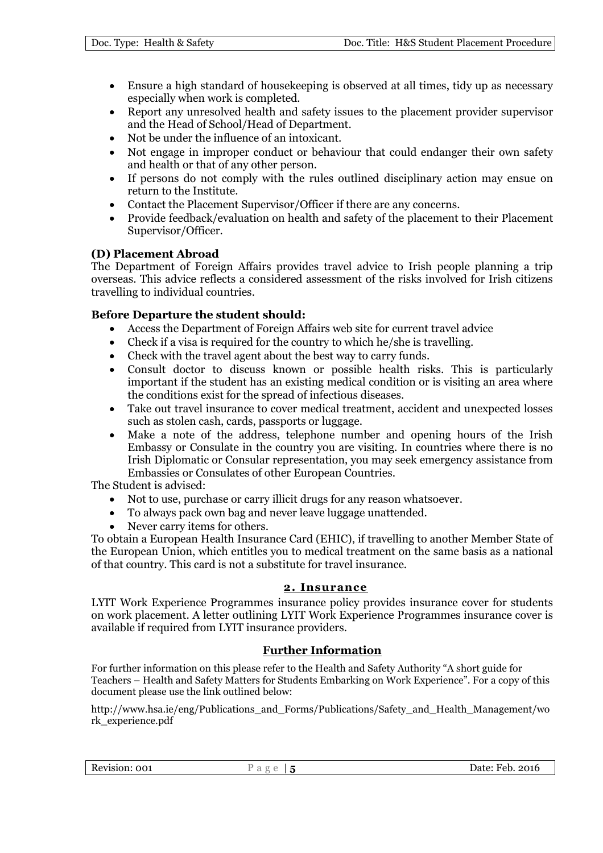- Ensure a high standard of housekeeping is observed at all times, tidy up as necessary especially when work is completed.
- Report any unresolved health and safety issues to the placement provider supervisor and the Head of School/Head of Department.
- Not be under the influence of an intoxicant.
- Not engage in improper conduct or behaviour that could endanger their own safety and health or that of any other person.
- If persons do not comply with the rules outlined disciplinary action may ensue on return to the Institute.
- Contact the Placement Supervisor/Officer if there are any concerns.
- Provide feedback/evaluation on health and safety of the placement to their Placement Supervisor/Officer.

#### **(D) Placement Abroad**

The Department of Foreign Affairs provides travel advice to Irish people planning a trip overseas. This advice reflects a considered assessment of the risks involved for Irish citizens travelling to individual countries.

#### **Before Departure the student should:**

- Access the Department of Foreign Affairs web site for current travel advice
- Check if a visa is required for the country to which he/she is travelling.
- Check with the travel agent about the best way to carry funds.
- Consult doctor to discuss known or possible health risks. This is particularly important if the student has an existing medical condition or is visiting an area where the conditions exist for the spread of infectious diseases.
- Take out travel insurance to cover medical treatment, accident and unexpected losses such as stolen cash, cards, passports or luggage.
- Make a note of the address, telephone number and opening hours of the Irish Embassy or Consulate in the country you are visiting. In countries where there is no Irish Diplomatic or Consular representation, you may seek emergency assistance from Embassies or Consulates of other European Countries.

The Student is advised:

- Not to use, purchase or carry illicit drugs for any reason whatsoever.
- To always pack own bag and never leave luggage unattended.
- Never carry items for others.

To obtain a European Health Insurance Card (EHIC), if travelling to another Member State of the European Union, which entitles you to medical treatment on the same basis as a national of that country. This card is not a substitute for travel insurance.

#### **2. Insurance**

LYIT Work Experience Programmes insurance policy provides insurance cover for students on work placement. A letter outlining LYIT Work Experience Programmes insurance cover is available if required from LYIT insurance providers.

#### **Further Information**

For further information on this please refer to the Health and Safety Authority "A short guide for Teachers – Health and Safety Matters for Students Embarking on Work Experience". For a copy of this document please use the link outlined below:

http://www.hsa.ie/eng/Publications\_and\_Forms/Publications/Safety\_and\_Health\_Management/wo rk\_experience.pdf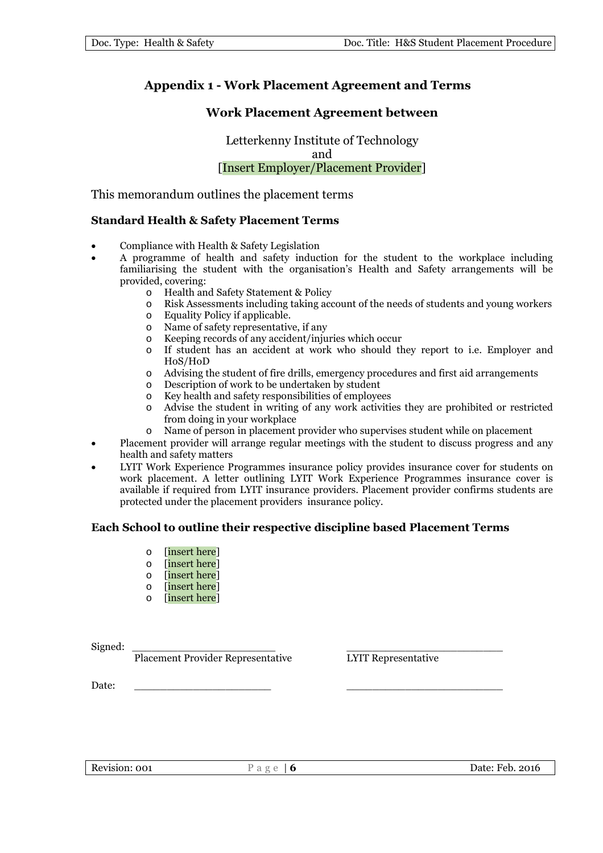## **Appendix 1 - Work Placement Agreement and Terms**

#### **Work Placement Agreement between**

Letterkenny Institute of Technology and [Insert Employer/Placement Provider]

This memorandum outlines the placement terms

#### **Standard Health & Safety Placement Terms**

- Compliance with Health & Safety Legislation
- A programme of health and safety induction for the student to the workplace including familiarising the student with the organisation's Health and Safety arrangements will be provided, covering:
	- o Health and Safety Statement & Policy
	- o Risk Assessments including taking account of the needs of students and young workers
	- o Equality Policy if applicable.
	- o Name of safety representative, if any
	- o Keeping records of any accident/injuries which occur
	- o If student has an accident at work who should they report to i.e. Employer and HoS/HoD
	- o Advising the student of fire drills, emergency procedures and first aid arrangements
	- o Description of work to be undertaken by student
	- o Key health and safety responsibilities of employees
	- o Advise the student in writing of any work activities they are prohibited or restricted from doing in your workplace
	- o Name of person in placement provider who supervises student while on placement
- Placement provider will arrange regular meetings with the student to discuss progress and any health and safety matters
- LYIT Work Experience Programmes insurance policy provides insurance cover for students on work placement. A letter outlining LYIT Work Experience Programmes insurance cover is available if required from LYIT insurance providers. Placement provider confirms students are protected under the placement providers insurance policy.

#### **Each School to outline their respective discipline based Placement Terms**

- o [insert here]
- o [insert here]
- o [insert here]
- o [insert here]
- o [insert here]

Signed: \_\_\_\_\_\_\_\_\_\_\_\_\_\_\_\_\_\_\_\_\_\_ \_\_\_\_\_\_\_\_\_\_\_\_\_\_\_\_\_\_\_\_\_\_\_\_

Placement Provider Representative LYIT Representative

Date: \_\_\_\_\_\_\_\_\_\_\_\_\_\_\_\_\_\_\_\_\_ \_\_\_\_\_\_\_\_\_\_\_\_\_\_\_\_\_\_\_\_\_\_\_\_